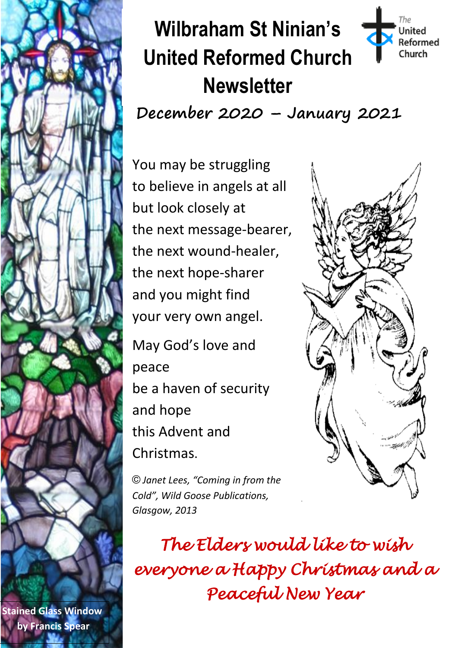

 **by Francis Spear Stained Glass Window**

# **Wilbraham St Ninian's United Reformed Church Newsletter**

**December 2020 – January 2021**

You may be struggling to believe in angels at all but look closely at the next message-bearer, the next wound-healer, the next hope-sharer and you might find your very own angel.

May God's love and peace be a haven of security and hope this Advent and Christmas.

أأزهتهم

The **United Reformed** Church

*© Janet Lees, "Coming in from the Cold", Wild Goose Publications, Glasgow, 2013*

*The Elders would like to wish everyone a Happy Christmas and a Peaceful New Year*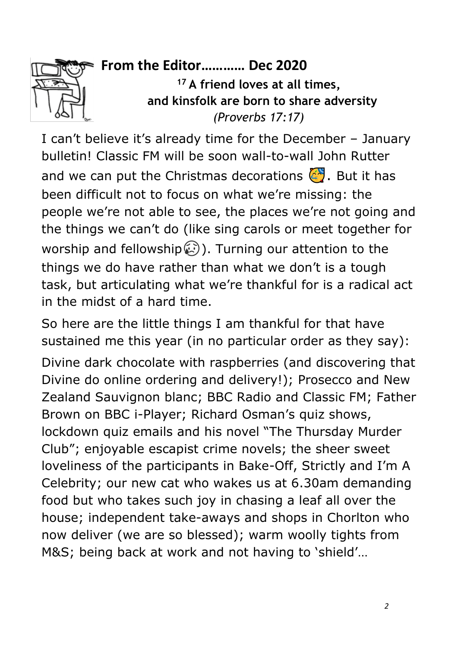

#### **From the Editor………… Dec 2020**

**<sup>17</sup> A friend loves at all times, and kinsfolk are born to share adversity** *(Proverbs 17:17)*

I can't believe it's already time for the December – January bulletin! Classic FM will be soon wall-to-wall John Rutter and we can put the Christmas decorations  $\left(\frac{1}{2}\right)$ . But it has been difficult not to focus on what we're missing: the people we're not able to see, the places we're not going and the things we can't do (like sing carols or meet together for worship and fellowship $\binom{2}{2}$ . Turning our attention to the things we do have rather than what we don't is a tough task, but articulating what we're thankful for is a radical act in the midst of a hard time.

So here are the little things I am thankful for that have sustained me this year (in no particular order as they say): Divine dark chocolate with raspberries (and discovering that Divine do online ordering and delivery!); Prosecco and New Zealand Sauvignon blanc; BBC Radio and Classic FM; Father Brown on BBC i-Player; Richard Osman's quiz shows, lockdown quiz emails and his novel "The Thursday Murder Club"; enjoyable escapist crime novels; the sheer sweet loveliness of the participants in Bake-Off, Strictly and I'm A Celebrity; our new cat who wakes us at 6.30am demanding food but who takes such joy in chasing a leaf all over the house; independent take-aways and shops in Chorlton who now deliver (we are so blessed); warm woolly tights from M&S; being back at work and not having to 'shield'…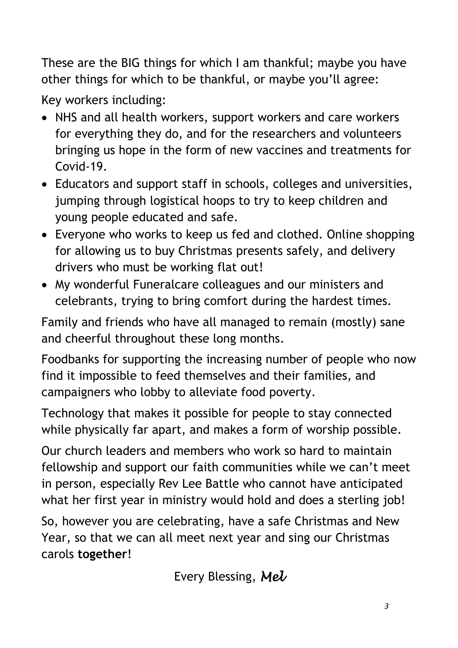These are the BIG things for which I am thankful; maybe you have other things for which to be thankful, or maybe you'll agree:

Key workers including:

- NHS and all health workers, support workers and care workers for everything they do, and for the researchers and volunteers bringing us hope in the form of new vaccines and treatments for Covid-19.
- Educators and support staff in schools, colleges and universities, jumping through logistical hoops to try to keep children and young people educated and safe.
- Everyone who works to keep us fed and clothed. Online shopping for allowing us to buy Christmas presents safely, and delivery drivers who must be working flat out!
- My wonderful Funeralcare colleagues and our ministers and celebrants, trying to bring comfort during the hardest times.

Family and friends who have all managed to remain (mostly) sane and cheerful throughout these long months.

Foodbanks for supporting the increasing number of people who now find it impossible to feed themselves and their families, and campaigners who lobby to alleviate food poverty.

Technology that makes it possible for people to stay connected while physically far apart, and makes a form of worship possible.

Our church leaders and members who work so hard to maintain fellowship and support our faith communities while we can't meet in person, especially Rev Lee Battle who cannot have anticipated what her first year in ministry would hold and does a sterling job!

So, however you are celebrating, have a safe Christmas and New Year, so that we can all meet next year and sing our Christmas carols **together**!

Every Blessing, *Mel*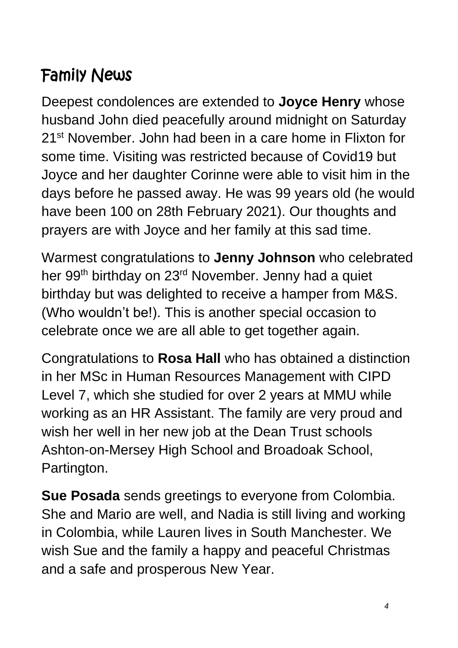# Family News

Deepest condolences are extended to **Joyce Henry** whose husband John died peacefully around midnight on Saturday 21<sup>st</sup> November. John had been in a care home in Flixton for some time. Visiting was restricted because of Covid19 but Joyce and her daughter Corinne were able to visit him in the days before he passed away. He was 99 years old (he would have been 100 on 28th February 2021). Our thoughts and prayers are with Joyce and her family at this sad time.

Warmest congratulations to **Jenny Johnson** who celebrated her 99<sup>th</sup> birthday on 23<sup>rd</sup> November. Jenny had a quiet birthday but was delighted to receive a hamper from M&S. (Who wouldn't be!). This is another special occasion to celebrate once we are all able to get together again.

Congratulations to **Rosa Hall** who has obtained a distinction in her MSc in Human Resources Management with CIPD Level 7, which she studied for over 2 years at MMU while working as an HR Assistant. The family are very proud and wish her well in her new job at the Dean Trust schools Ashton-on-Mersey High School and Broadoak School, Partington.

**Sue Posada** sends greetings to everyone from Colombia. She and Mario are well, and Nadia is still living and working in Colombia, while Lauren lives in South Manchester. We wish Sue and the family a happy and peaceful Christmas and a safe and prosperous New Year.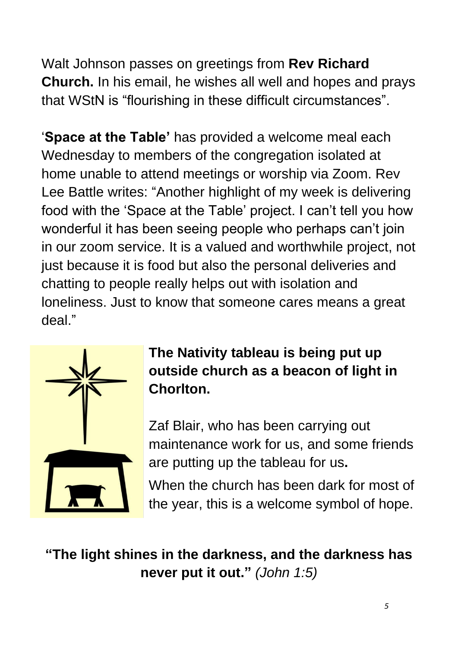Walt Johnson passes on greetings from **Rev Richard Church.** In his email, he wishes all well and hopes and prays that WStN is "flourishing in these difficult circumstances".

'**Space at the Table'** has provided a welcome meal each Wednesday to members of the congregation isolated at home unable to attend meetings or worship via Zoom. Rev Lee Battle writes: "Another highlight of my week is delivering food with the 'Space at the Table' project. I can't tell you how wonderful it has been seeing people who perhaps can't join in our zoom service. It is a valued and worthwhile project, not just because it is food but also the personal deliveries and chatting to people really helps out with isolation and loneliness. Just to know that someone cares means a great deal."



**The Nativity tableau is being put up outside church as a beacon of light in Chorlton.** 

Zaf Blair, who has been carrying out maintenance work for us, and some friends are putting up the tableau for us**.**

When the church has been dark for most of the year, this is a welcome symbol of hope.

# **"The light shines in the darkness, and the darkness has never put it out."** *(John 1:5)*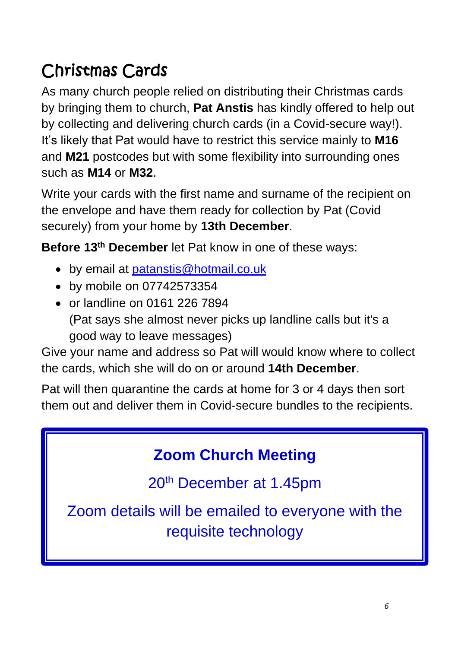# Christmas Cards

As many church people relied on distributing their Christmas cards by bringing them to church, **Pat Anstis** has kindly offered to help out by collecting and delivering church cards (in a Covid-secure way!). It's likely that Pat would have to restrict this service mainly to **M16** and **M21** postcodes but with some flexibility into surrounding ones such as **M14** or **M32**.

Write your cards with the first name and surname of the recipient on the envelope and have them ready for collection by Pat (Covid securely) from your home by **13th December**.

**Before 13th December** let Pat know in one of these ways:

- by email at **[patanstis@hotmail.co.uk](mailto:patanstis@hotmail.co.uk)**
- by mobile on 07742573354
- or landline on 0161 226 7894 (Pat says she almost never picks up landline calls but it's a good way to leave messages)

Give your name and address so Pat will would know where to collect the cards, which she will do on or around **14th December**.

Pat will then quarantine the cards at home for 3 or 4 days then sort them out and deliver them in Covid-secure bundles to the recipients.

# **Zoom Church Meeting**

20th December at 1.45pm

Zoom details will be emailed to everyone with the requisite technology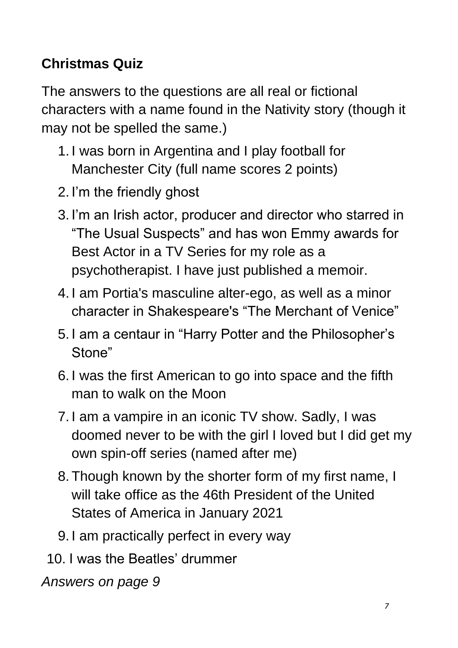# **Christmas Quiz**

The answers to the questions are all real or fictional characters with a name found in the Nativity story (though it may not be spelled the same.)

- 1. I was born in Argentina and I play football for Manchester City (full name scores 2 points)
- 2. I'm the friendly ghost
- 3. I'm an Irish actor, producer and director who starred in "The Usual Suspects" and has won Emmy awards for Best Actor in a TV Series for my role as a psychotherapist. I have just published a memoir.
- 4. I am Portia's masculine alter-ego, as well as a minor character in Shakespeare's "The Merchant of Venice"
- 5. I am a centaur in "Harry Potter and the Philosopher's Stone"
- 6. I was the first American to go into space and the fifth man to walk on the Moon
- 7. I am a vampire in an iconic TV show. Sadly, I was doomed never to be with the girl I loved but I did get my own spin-off series (named after me)
- 8. Though known by the shorter form of my first name, I will take office as the 46th President of the United States of America in January 2021
- 9. I am practically perfect in every way
- 10. I was the Beatles' drummer

*Answers on page 9*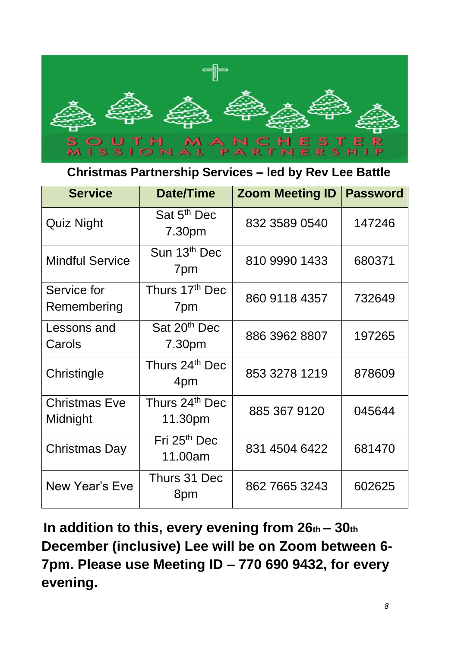

#### **Christmas Partnership Services – led by Rev Lee Battle**

| <b>Service</b>                   | Date/Time                           | <b>Zoom Meeting ID</b> | <b>Password</b> |
|----------------------------------|-------------------------------------|------------------------|-----------------|
| <b>Quiz Night</b>                | Sat 5 <sup>th</sup> Dec<br>7.30pm   | 832 3589 0540          | 147246          |
| <b>Mindful Service</b>           | Sun 13th Dec<br>7pm                 | 810 9990 1433          | 680371          |
| Service for<br>Remembering       | Thurs 17th Dec<br>7pm               | 860 9118 4357          | 732649          |
| Lessons and<br>Carols            | Sat 20 <sup>th</sup> Dec<br>7.30pm  | 886 3962 8807          | 197265          |
| Christingle                      | Thurs 24 <sup>th</sup> Dec<br>4pm   | 853 3278 1219          | 878609          |
| <b>Christmas Eve</b><br>Midnight | Thurs 24th Dec<br>11.30pm           | 885 367 9120           | 045644          |
| Christmas Day                    | Fri 25 <sup>th</sup> Dec<br>11.00am | 831 4504 6422          | 681470          |
| New Year's Eve                   | Thurs 31 Dec<br>8pm                 | 862 7665 3243          | 602625          |

**In addition to this, every evening from 26th – 30th December (inclusive) Lee will be on Zoom between 6- 7pm. Please use Meeting ID – 770 690 9432, for every evening.**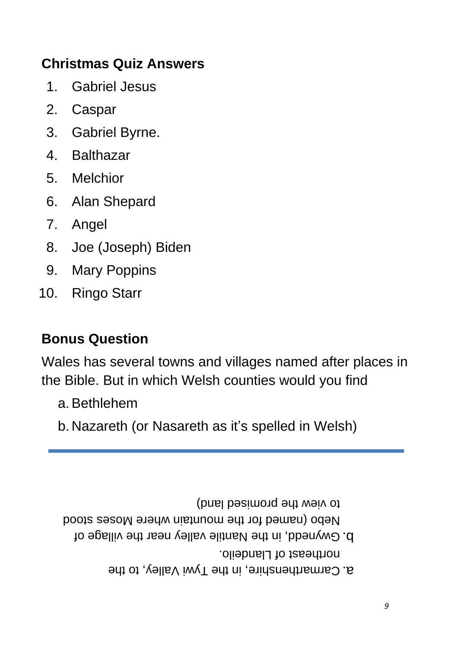#### **Christmas Quiz Answers**

- 1. Gabriel Jesus
- 2. Caspar
- 3. Gabriel Byrne.
- 4. Balthazar
- 5. Melchior
- 6. Alan Shepard
- 7. Angel
- 8. Joe (Joseph) Biden
- 9. Mary Poppins
- 10. Ringo Starr

#### **Bonus Question**

Wales has several towns and villages named after places in the Bible. But in which Welsh counties would you find

- a.Bethlehem
- b. Nazareth (or Nasareth as it's spelled in Welsh)

to view the promised land)

- Nebo (named for the mountain where Moses stood
	- ollepheli of Llandeilo. Gwynedd, in the Nantile valley near the village of b.
		- a. Carmarthenshire, in the 1ywi Valley, to the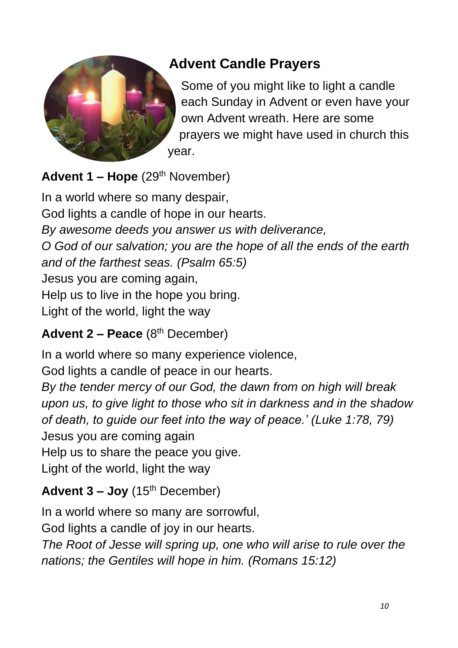

# **Advent Candle Prayers**

Some of you might like to light a candle each Sunday in Advent or even have your own Advent wreath. Here are some prayers we might have used in church this year.

#### Advent 1 - Hope (29<sup>th</sup> November)

In a world where so many despair, God lights a candle of hope in our hearts. *By awesome deeds you answer us with deliverance, O God of our salvation; you are the hope of all the ends of the earth and of the farthest seas. (Psalm 65:5)* Jesus you are coming again, Help us to live in the hope you bring. Light of the world, light the way

## Advent 2 – Peace (8<sup>th</sup> December)

In a world where so many experience violence, God lights a candle of peace in our hearts. *By the tender mercy of our God, the dawn from on high will break upon us, to give light to those who sit in darkness and in the shadow of death, to guide our feet into the way of peace.' (Luke 1:78, 79)*  Jesus you are coming again Help us to share the peace you give. Light of the world, light the way

## **Advent 3 – Joy** (15th December)

In a world where so many are sorrowful,

God lights a candle of joy in our hearts.

*The Root of Jesse will spring up, one who will arise to rule over the nations; the Gentiles will hope in him. (Romans 15:12)*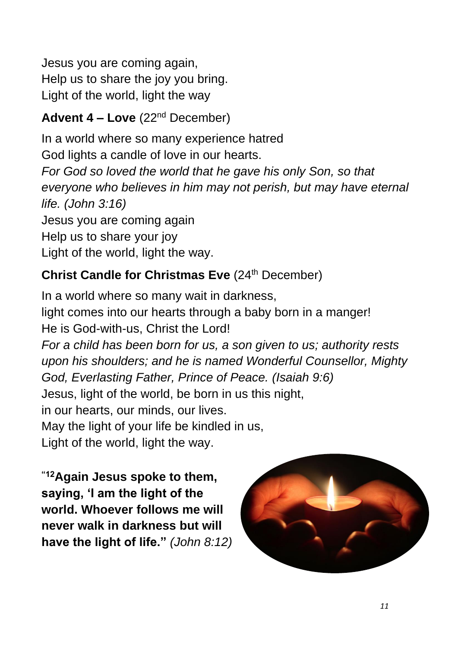Jesus you are coming again, Help us to share the joy you bring. Light of the world, light the way

#### **Advent 4 – Love** (22nd December)

In a world where so many experience hatred God lights a candle of love in our hearts. *For God so loved the world that he gave his only Son, so that everyone who believes in him may not perish, but may have eternal life. (John 3:16)* Jesus you are coming again Help us to share your joy Light of the world, light the way.

#### **Christ Candle for Christmas Eve** (24<sup>th</sup> December)

In a world where so many wait in darkness, light comes into our hearts through a baby born in a manger! He is God-with-us, Christ the Lord! *For a child has been born for us, a son given to us; authority rests upon his shoulders; and he is named Wonderful Counsellor, Mighty God, Everlasting Father, Prince of Peace. (Isaiah 9:6)*  Jesus, light of the world, be born in us this night, in our hearts, our minds, our lives. May the light of your life be kindled in us, Light of the world, light the way.

**"12Again Jesus spoke to them, saying, 'I am the light of the world. Whoever follows me will never walk in darkness but will have the light of life."** *(John 8:12)*